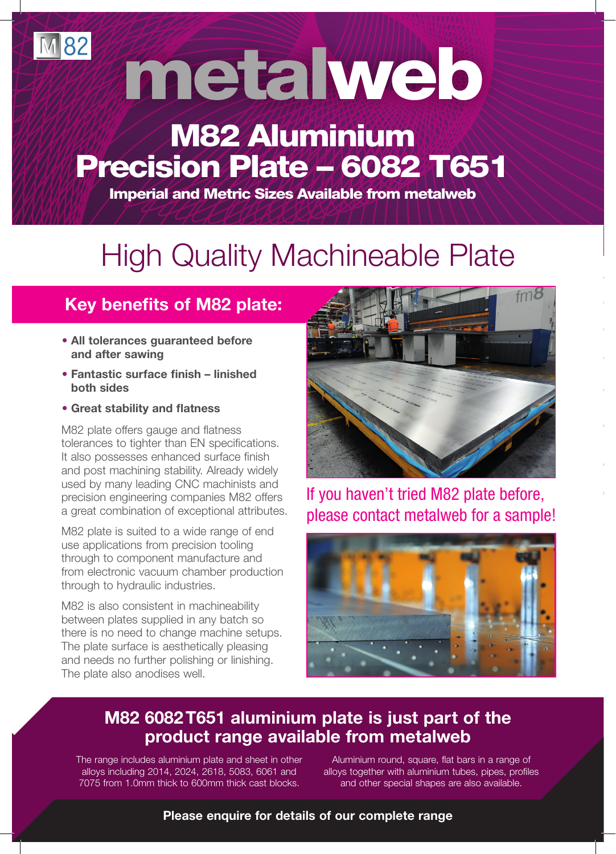metalweb

## M82 Aluminium Precision Plate 4 6082 T651

Imperial and Metric Sizes Available from metalweb

# High Quality Machineable Plate

### **Key benefits of M82 plate:**

- **All tolerances guaranteed before and after sawing**
- **Fantastic surface finish linished both sides**
- **Great stability and flatness**

**M82** 

M82 plate offers gauge and flatness tolerances to tighter than EN specifications. It also possesses enhanced surface finish and post machining stability. Already widely used by many leading CNC machinists and precision engineering companies M82 offers a great combination of exceptional attributes.

M82 plate is suited to a wide range of end use applications from precision tooling through to component manufacture and from electronic vacuum chamber production through to hydraulic industries.

M82 is also consistent in machineability between plates supplied in any batch so there is no need to change machine setups. The plate surface is aesthetically pleasing and needs no further polishing or linishing. The plate also anodises well.



If you haven't tried M82 plate before, please contact metalweb for a sample!



#### **M82 6082 T651 aluminium plate is just part of the product range available from metalweb**

The range includes aluminium plate and sheet in other alloys including 2014, 2024, 2618, 5083, 6061 and 7075 from 1.0mm thick to 600mm thick cast blocks.

Aluminium round, square, flat bars in a range of alloys together with aluminium tubes, pipes, profiles and other special shapes are also available.

**Please enquire for details of our complete range**